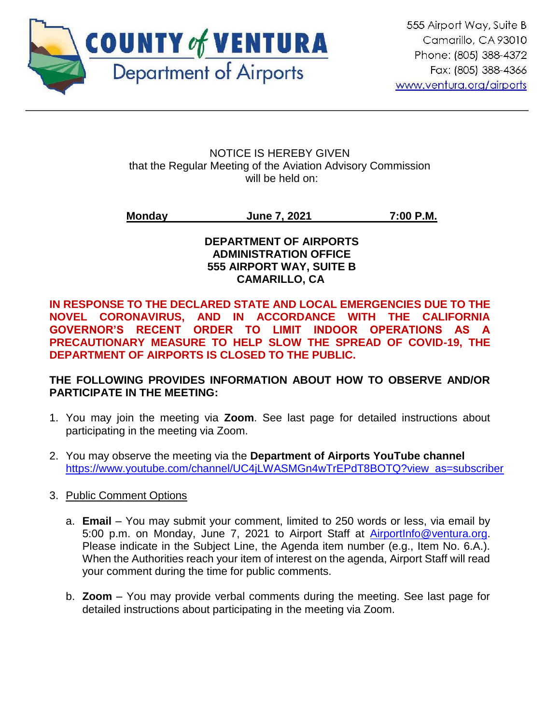

NOTICE IS HEREBY GIVEN that the Regular Meeting of the Aviation Advisory Commission will be held on:

**Monday June 7, 2021 7:00 P.M.**

#### **DEPARTMENT OF AIRPORTS ADMINISTRATION OFFICE 555 AIRPORT WAY, SUITE B CAMARILLO, CA**

**IN RESPONSE TO THE DECLARED STATE AND LOCAL EMERGENCIES DUE TO THE NOVEL CORONAVIRUS, AND IN ACCORDANCE WITH THE CALIFORNIA GOVERNOR'S RECENT ORDER TO LIMIT INDOOR OPERATIONS AS A PRECAUTIONARY MEASURE TO HELP SLOW THE SPREAD OF COVID-19, THE DEPARTMENT OF AIRPORTS IS CLOSED TO THE PUBLIC.** 

#### **THE FOLLOWING PROVIDES INFORMATION ABOUT HOW TO OBSERVE AND/OR PARTICIPATE IN THE MEETING:**

- 1. You may join the meeting via **Zoom**. See last page for detailed instructions about participating in the meeting via Zoom.
- 2. You may observe the meeting via the **Department of Airports YouTube channel** https://www.youtube.com/channel/UC4iLWASMGn4wTrEPdT8BOTQ?view\_as=subscriber
- 3. Public Comment Options
	- a. **Email** You may submit your comment, limited to 250 words or less, via email by 5:00 p.m. on Monday, June 7, 2021 to Airport Staff at [AirportInfo@ventura.org.](mailto:AirportInfo@ventura.org) Please indicate in the Subject Line, the Agenda item number (e.g., Item No. 6.A.). When the Authorities reach your item of interest on the agenda, Airport Staff will read your comment during the time for public comments.
	- b. **Zoom** You may provide verbal comments during the meeting. See last page for detailed instructions about participating in the meeting via Zoom.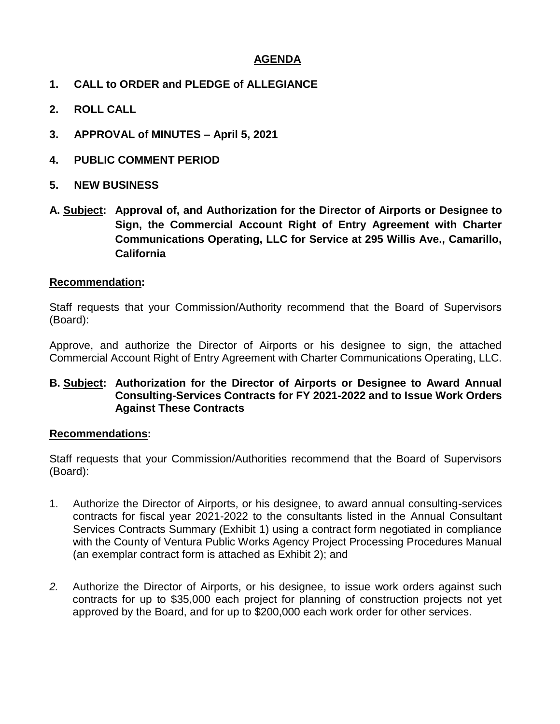#### **AGENDA**

- **1. CALL to ORDER and PLEDGE of ALLEGIANCE**
- **2. ROLL CALL**
- **3. APPROVAL of MINUTES – April 5, 2021**
- **4. PUBLIC COMMENT PERIOD**
- **5. NEW BUSINESS**
- **A. Subject: Approval of, and Authorization for the Director of Airports or Designee to Sign, the Commercial Account Right of Entry Agreement with Charter Communications Operating, LLC for Service at 295 Willis Ave., Camarillo, California**

#### **Recommendation:**

Staff requests that your Commission/Authority recommend that the Board of Supervisors (Board):

Approve, and authorize the Director of Airports or his designee to sign, the attached Commercial Account Right of Entry Agreement with Charter Communications Operating, LLC.

#### **B. Subject: Authorization for the Director of Airports or Designee to Award Annual Consulting-Services Contracts for FY 2021-2022 and to Issue Work Orders Against These Contracts**

#### **Recommendations:**

Staff requests that your Commission/Authorities recommend that the Board of Supervisors (Board):

- 1. Authorize the Director of Airports, or his designee, to award annual consulting-services contracts for fiscal year 2021-2022 to the consultants listed in the Annual Consultant Services Contracts Summary (Exhibit 1) using a contract form negotiated in compliance with the County of Ventura Public Works Agency Project Processing Procedures Manual (an exemplar contract form is attached as Exhibit 2); and
- *2.* Authorize the Director of Airports, or his designee, to issue work orders against such contracts for up to \$35,000 each project for planning of construction projects not yet approved by the Board, and for up to \$200,000 each work order for other services.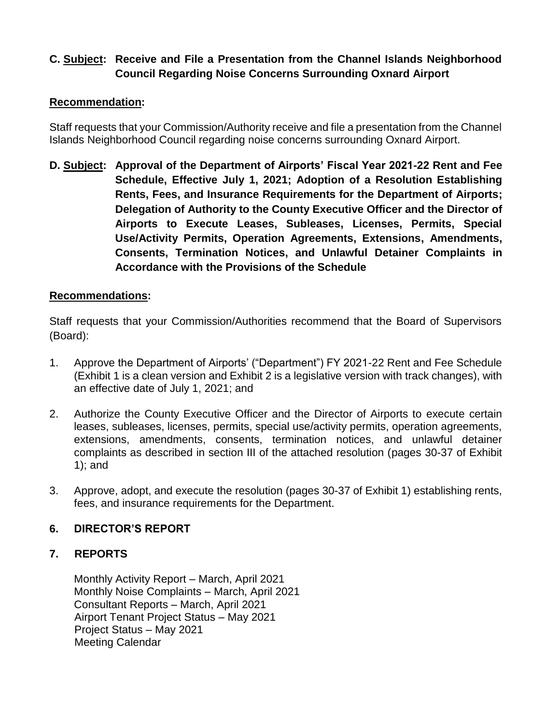## **C. Subject: Receive and File a Presentation from the Channel Islands Neighborhood Council Regarding Noise Concerns Surrounding Oxnard Airport**

#### **Recommendation:**

Staff requests that your Commission/Authority receive and file a presentation from the Channel Islands Neighborhood Council regarding noise concerns surrounding Oxnard Airport.

**D. Subject: Approval of the Department of Airports' Fiscal Year 2021-22 Rent and Fee Schedule, Effective July 1, 2021; Adoption of a Resolution Establishing Rents, Fees, and Insurance Requirements for the Department of Airports; Delegation of Authority to the County Executive Officer and the Director of Airports to Execute Leases, Subleases, Licenses, Permits, Special Use/Activity Permits, Operation Agreements, Extensions, Amendments, Consents, Termination Notices, and Unlawful Detainer Complaints in Accordance with the Provisions of the Schedule**

#### **Recommendations:**

Staff requests that your Commission/Authorities recommend that the Board of Supervisors (Board):

- 1. Approve the Department of Airports' ("Department") FY 2021-22 Rent and Fee Schedule (Exhibit 1 is a clean version and Exhibit 2 is a legislative version with track changes), with an effective date of July 1, 2021; and
- 2. Authorize the County Executive Officer and the Director of Airports to execute certain leases, subleases, licenses, permits, special use/activity permits, operation agreements, extensions, amendments, consents, termination notices, and unlawful detainer complaints as described in section III of the attached resolution (pages 30-37 of Exhibit 1); and
- 3. Approve, adopt, and execute the resolution (pages 30-37 of Exhibit 1) establishing rents, fees, and insurance requirements for the Department.

#### **6. DIRECTOR'S REPORT**

#### **7. REPORTS**

Monthly Activity Report – March, April 2021 Monthly Noise Complaints – March, April 2021 Consultant Reports – March, April 2021 Airport Tenant Project Status – May 2021 Project Status – May 2021 Meeting Calendar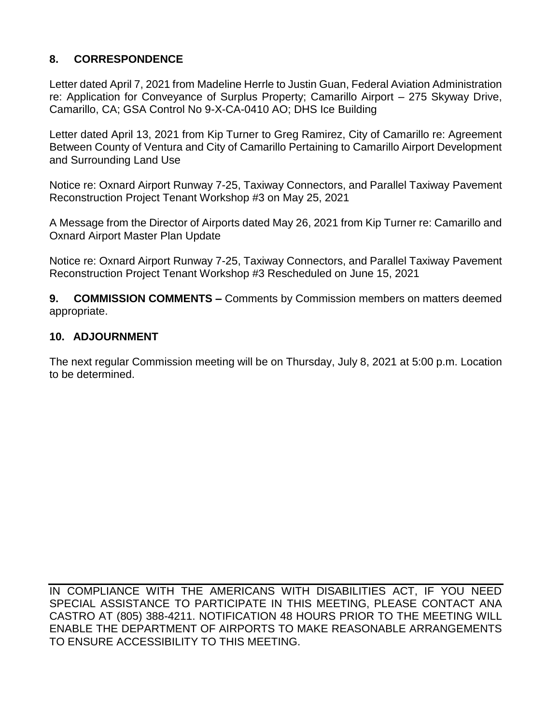## **8. CORRESPONDENCE**

Letter dated April 7, 2021 from Madeline Herrle to Justin Guan, Federal Aviation Administration re: Application for Conveyance of Surplus Property; Camarillo Airport – 275 Skyway Drive, Camarillo, CA; GSA Control No 9-X-CA-0410 AO; DHS Ice Building

Letter dated April 13, 2021 from Kip Turner to Greg Ramirez, City of Camarillo re: Agreement Between County of Ventura and City of Camarillo Pertaining to Camarillo Airport Development and Surrounding Land Use

Notice re: Oxnard Airport Runway 7-25, Taxiway Connectors, and Parallel Taxiway Pavement Reconstruction Project Tenant Workshop #3 on May 25, 2021

A Message from the Director of Airports dated May 26, 2021 from Kip Turner re: Camarillo and Oxnard Airport Master Plan Update

Notice re: Oxnard Airport Runway 7-25, Taxiway Connectors, and Parallel Taxiway Pavement Reconstruction Project Tenant Workshop #3 Rescheduled on June 15, 2021

**9. COMMISSION COMMENTS –** Comments by Commission members on matters deemed appropriate.

#### **10. ADJOURNMENT**

The next regular Commission meeting will be on Thursday, July 8, 2021 at 5:00 p.m. Location to be determined.

IN COMPLIANCE WITH THE AMERICANS WITH DISABILITIES ACT, IF YOU NEED SPECIAL ASSISTANCE TO PARTICIPATE IN THIS MEETING, PLEASE CONTACT ANA CASTRO AT (805) 388-4211. NOTIFICATION 48 HOURS PRIOR TO THE MEETING WILL ENABLE THE DEPARTMENT OF AIRPORTS TO MAKE REASONABLE ARRANGEMENTS TO ENSURE ACCESSIBILITY TO THIS MEETING.